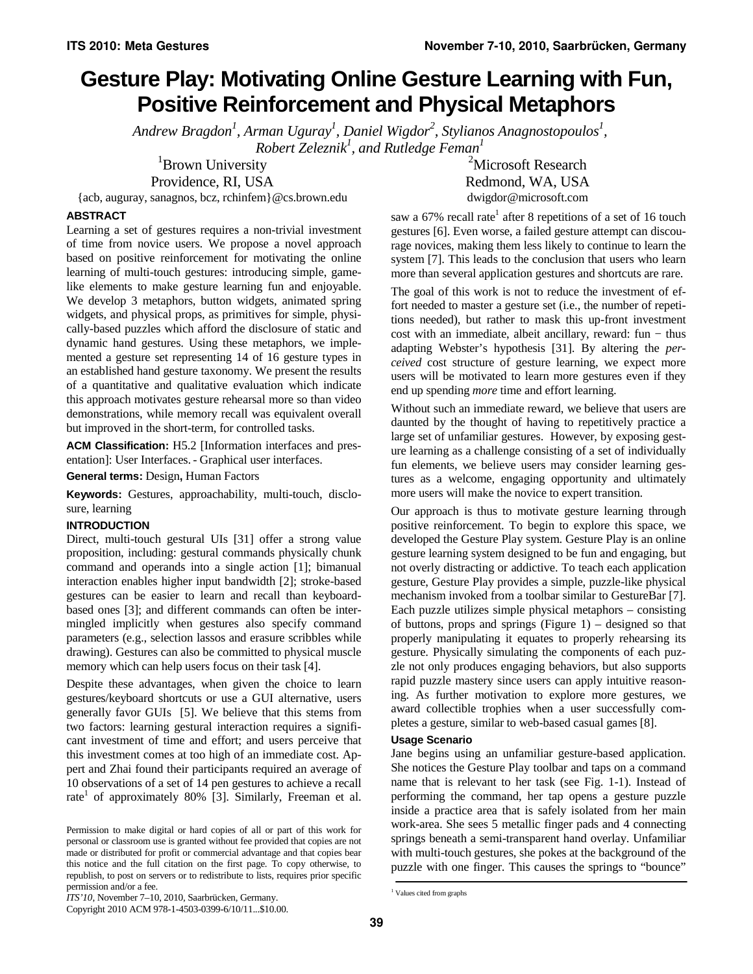# **Gesture Play: Motivating Online Gesture Learning with Fun, Positive Reinforcement and Physical Metaphors**

*Andrew Bragdon<sup>1</sup> , Arman Uguray<sup>1</sup> , Daniel Wigdor<sup>2</sup> , Stylianos Anagnostopoulos<sup>1</sup> , Robert Zeleznik<sup>1</sup> , and Rutledge Feman<sup>1</sup>*

<sup>1</sup>Brown University

Providence, RI, USA

{acb, auguray, sanagnos, bcz, rchinfem}@cs.brown.edu

<sup>2</sup>Microsoft Research Redmond, WA, USA dwigdor@microsoft.com

# **ABSTRACT**

Learning a set of gestures requires a non-trivial investment of time from novice users. We propose a novel approach based on positive reinforcement for motivating the online learning of multi-touch gestures: introducing simple, gamelike elements to make gesture learning fun and enjoyable. We develop 3 metaphors, button widgets, animated spring widgets, and physical props, as primitives for simple, physically-based puzzles which afford the disclosure of static and dynamic hand gestures. Using these metaphors, we implemented a gesture set representing 14 of 16 gesture types in an established hand gesture taxonomy. We present the results of a quantitative and qualitative evaluation which indicate this approach motivates gesture rehearsal more so than video demonstrations, while memory recall was equivalent overall but improved in the short-term, for controlled tasks.

**ACM Classification:** H5.2 [Information interfaces and presentation]: User Interfaces.- Graphical user interfaces.

**General terms:** Design**,** Human Factors

**Keywords:** Gestures, approachability, multi-touch, disclosure, learning

# **INTRODUCTION**

Direct, multi-touch gestural UIs [31] offer a strong value proposition, including: gestural commands physically chunk command and operands into a single action [1]; bimanual interaction enables higher input bandwidth [2]; stroke-based gestures can be easier to learn and recall than keyboardbased ones [3]; and different commands can often be intermingled implicitly when gestures also specify command parameters (e.g., selection lassos and erasure scribbles while drawing). Gestures can also be committed to physical muscle memory which can help users focus on their task [4].

Despite these advantages, when given the choice to learn gestures/keyboard shortcuts or use a GUI alternative, users generally favor GUIs [5]. We believe that this stems from two factors: learning gestural interaction requires a significant investment of time and effort; and users perceive that this investment comes at too high of an immediate cost. Appert and Zhai found their participants required an average of 10 observations of a set of 14 pen gestures to achieve a recall rate<sup>1</sup> of approximately 80% [3]. Similarly, Freeman et al.

*ITS'10*, November 7–10, 2010, Saarbrücken, Germany.

Copyright 2010 ACM 978-1-4503-0399-6/10/11...\$10.00.

saw a 67% recall rate<sup>1</sup> after 8 repetitions of a set of 16 touch gestures [6]. Even worse, a failed gesture attempt can discourage novices, making them less likely to continue to learn the system [7]. This leads to the conclusion that users who learn more than several application gestures and shortcuts are rare.

The goal of this work is not to reduce the investment of effort needed to master a gesture set (i.e., the number of repetitions needed), but rather to mask this up-front investment cost with an immediate, albeit ancillary, reward: fun − thus adapting Webster's hypothesis [31]. By altering the *perceived* cost structure of gesture learning, we expect more users will be motivated to learn more gestures even if they end up spending *more* time and effort learning.

Without such an immediate reward, we believe that users are daunted by the thought of having to repetitively practice a large set of unfamiliar gestures. However, by exposing gesture learning as a challenge consisting of a set of individually fun elements, we believe users may consider learning gestures as a welcome, engaging opportunity and ultimately more users will make the novice to expert transition.

Our approach is thus to motivate gesture learning through positive reinforcement. To begin to explore this space, we developed the Gesture Play system. Gesture Play is an online gesture learning system designed to be fun and engaging, but not overly distracting or addictive. To teach each application gesture, Gesture Play provides a simple, puzzle-like physical mechanism invoked from a toolbar similar to GestureBar [7]. Each puzzle utilizes simple physical metaphors – consisting of buttons, props and springs (Figure 1) – designed so that properly manipulating it equates to properly rehearsing its gesture. Physically simulating the components of each puzzle not only produces engaging behaviors, but also supports rapid puzzle mastery since users can apply intuitive reasoning. As further motivation to explore more gestures, we award collectible trophies when a user successfully completes a gesture, similar to web-based casual games [8].

### **Usage Scenario**

Jane begins using an unfamiliar gesture-based application. She notices the Gesture Play toolbar and taps on a command name that is relevant to her task (see Fig. 1-1). Instead of performing the command, her tap opens a gesture puzzle inside a practice area that is safely isolated from her main work-area. She sees 5 metallic finger pads and 4 connecting springs beneath a semi-transparent hand overlay. Unfamiliar with multi-touch gestures, she pokes at the background of the puzzle with one finger. This causes the springs to "bounce"

Permission to make digital or hard copies of all or part of this work for personal or classroom use is granted without fee provided that copies are not made or distributed for profit or commercial advantage and that copies bear this notice and the full citation on the first page. To copy otherwise, to republish, to post on servers or to redistribute to lists, requires prior specific permission and/or a fee.

<sup>&</sup>lt;sup>1</sup> Values cited from graphs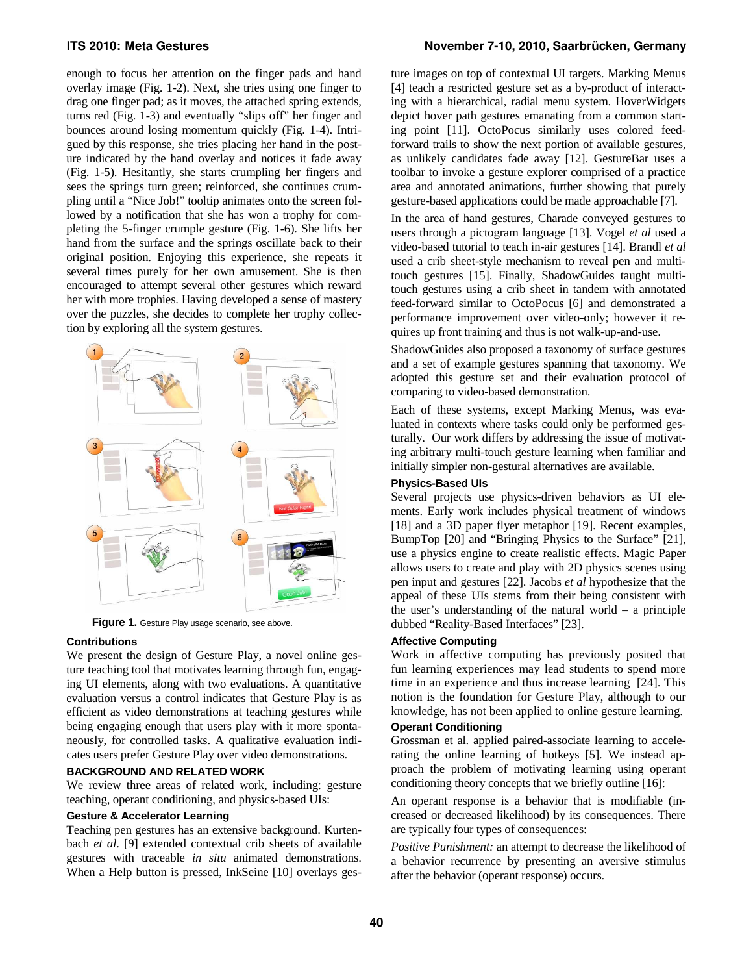enough to focus her attention on the finger pads and hand overlay image (Fig. 1-2). Next, she tries using one finger to drag one finger pad; as it moves, the attached spring extends, turns red (Fig. 1-3) and eventually "slips off" her finger and bounces around losing momentum quickly (Fig. 1-4). Intrigued by this response, she tries placing her hand in the posture indicated by the hand overlay and notices it fade away ure indicated by the hand overlay and notices it fade away (Fig. 1-5). Hesitantly, she starts crumpling her fingers and sees the springs turn green; reinforced, she continues crumpling until a "Nice Job!" tooltip animates onto the screen followed by a notification that she has won a trophy for completing the 5-finger crumple gesture (Fig. 1-6). She lifts her hand from the surface and the springs oscillate back to their original position. Enjoying this experience, she repeats it several times purely for her own amusement. She is then encouraged to attempt several other gestures which reward her with more trophies. Having developed a sense of mastery over the puzzles, she decides to complete her trophy collection by exploring all the system gestures. minon on the finger pais and hand ture images on top of contextual UI mgeats Marking Menus<br>
Wext, she tries using one finger to [4] tends a restricted gesture set as a hyproduct of internation<br>contentum quickly (Fig. 1-4)



Figure 1. Gesture Play usage scenario, see above.

### **Contributions**

We present the design of Gesture Play, a novel online gesture teaching tool that motivates learning through fun, engaging UI elements, along with two evaluations. A quantitative evaluation versus a control indicates that Gesture Play is as efficient as video demonstrations at teaching gestures while being engaging enough that users play with it more spontaneously, for controlled tasks. A qualitative evaluation indicates users prefer Gesture Play over video demonstrations.

# **BACKGROUND AND RELATED WORK**

We review three areas of related work, including: gesture teaching, operant conditioning, and physics-based UIs:

### **Gesture & Accelerator Learning**

Teaching pen gestures has an extensive background. Kurtenbach et al. [9] extended contextual crib sheets of available gestures with traceable *in situ* animated demonstrations. When a Help button is pressed, InkSeine [10] overlays ges-

### **ITS 2010: Meta Gestures November 7-10, 2010, Saarbrücken, Germany**

ture images on top of contextual UI targets. Marking Menus [4] teach a restricted gesture set as a by-product of interacting with a hierarchical, radial menu system. HoverWidgets depict hover path gestures emanating from a common starting point [11]. OctoPocus similarly uses colored feedforward trails to show the next portion of available gestures, as unlikely candidates fade away [12]. GestureBar uses a toolbar to invoke a gesture explorer comprised of a practice area and annotated animations, further showing that purely gesture-based applications could be made approachable [7].

In the area of hand gestures, Charade conveyed gestures to users through a pictogram language [13]. Vogel et al used a video-based tutorial to teach in-air gestures [14]. Brandl et al used a crib sheet-style mechanism to reveal pen and multitouch gestures [15]. Finally, ShadowGuides taught multitouch gestures using a crib sheet in tandem with annotated feed-forward similar to OctoPocus [6] and demonstrated a performance improvement over video-only; however it requires up front training and thus is not walk-up-and-use.

ShadowGuides also proposed a taxonomy of surface gestures gestures and a set of example gestures spanning that taxonomy. We adopted this gesture set and their evaluation protocol of comparing to video-based demonstration.

comparing to video-based demonstration.<br>Each of these systems, except Marking Menus, was evaluated in contexts where tasks could only be performed gesturally. Our work differs by addressing the issue of motivating arbitrary multi-touch gesture learning when familiar and initially simpler non-gestural alternatives are available. initially simpler non-gestural alternatives are available.<br>**Physics-Based UIs**<br>Several projects use physics-driven behaviors as UI ele-

# **Physics-Based UIs**

ments. Early work includes physical treatment of windows [18] and a 3D paper flyer metaphor [19]. Recent examples, BumpTop [20] and "Bringing Physics to the Surface" [21], use a physics engine to create realistic effects. Magic Paper allows users to create and play with 2D physics scenes using pen input and gestures [22]. Jacobs *et al* hypothesize that the appeal of these UIs stems from their being consistent with the user's understanding of the natural world  $-$  a principle dubbed "Reality-Based Interfaces" [23] [23].

### **Affective Computing**

Work in affective computing has previously posited that fun learning experiences may lead students to spend more time in an experience and thus increase learning [24]. This notion is the foundation for Gesture Play, although to our knowledge, has not been applied to online gesture learning. **Operant Conditioning** 

Grossman et al. applied paired-associate learning to accelerating the online learning of hotkeys [5]. We instead approach the problem of motivating learning using operant conditioning theory concepts that we briefly outline [16]:

An operant response is a behavior that is modifiable (increased or decreased likelihood) by its consequences. There are typically four types of consequences:

Positive Punishment: an attempt to decrease the likelihood of a behavior recurrence by presenting an aversive stimulus after the behavior (operant response) occurs.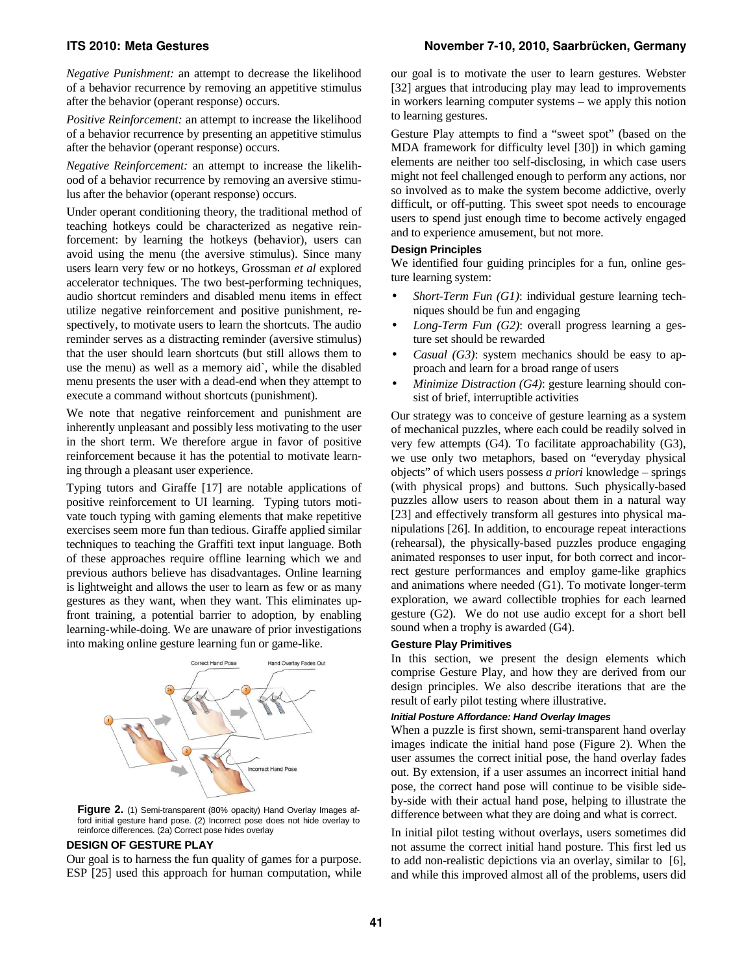Negative Punishment: an attempt to decrease the likelihood of a behavior recurrence by removing an appetitive stimulus after the behavior (operant response) occurs.

Positive Reinforcement: an attempt to increase the likelihood of a behavior recurrence by presenting an appetitive stimulus after the behavior (operant response) occurs.

Negative Reinforcement: an attempt to increase the likelihood of a behavior recurrence by removing an aversive stimulus after the behavior (operant response) occurs.

Under operant conditioning theory, the traditional method of teaching hotkeys could be characterized as negative reinforcement: by learning the hotkeys (behavior), users can avoid using the menu (the aversive stimulus). Since many users learn very few or no hotkeys, Grossman et al explored accelerator techniques. The two best-performing techniques, performing techniques, audio shortcut reminders and disabled menu items in effect utilize negative reinforcement and positive punishment, r respectively, to motivate users to learn the shortcuts. The audio reminder serves as a distracting reminder (aversive stimulus) that the user should learn shortcuts (but still allows them to use the menu) as well as a memory aid`, while the disabled menu presents the user with a dead-end when they attempt to execute a command without shortcuts (punishment).

We note that negative reinforcement and punishment are inherently unpleasant and possibly less motivating to the user in the short term. We therefore argue in favor of positive reinforcement because it has the potential to motivate learning through a pleasant user experience.

Typing tutors and Giraffe [17] are notable applications of positive reinforcement to UI learning. Typing tutors motivate touch typing with gaming elements that make repetitive exercises seem more fun than tedious. Giraffe applied similar techniques to teaching the Graffiti text input language. Both of these approaches require offline learning which we and previous authors believe has disadvantages. Online learning is lightweight and allows the user to learn as few or as many gestures as they want, when they want. This eliminates upfront training, a potential barrier to adoption, by enabling learning-while-doing. We are unaware of prior investigations into making online gesture learning fun or game-like.



Figure 2. (1) Semi-transparent (80% opacity) Hand Overlay Images afford initial gesture hand pose. (2) Incorrect pose does not hide overlay to reinforce differences. (2a) Correct pose hides overlay

# **DESIGN OF GESTURE PLAY**

Our goal is to harness the fun quality of games for a purpose. ESP [25] used this approach for human computation, while our goal is to motivate the user to learn gestures. Webster [32] argues that introducing play may lead to improvements in workers learning computer systems - we apply this notion to learning gestures.

Gesture Play attempts to find a "sweet spot" (based on the MDA framework for difficulty level [30]) in which gaming elements are neither too self-disclosing, in which case users might not feel challenged enough to perform any actions, nor so involved as to make the system become addictive, overly difficult, or off-putting. This sweet spot needs to encourage users to spend just enough time to become actively engaged and to experience amusement, but not more.

# **Design Principles**

We identified four guiding principles for a fun, online gesture learning system:

- Short-Term Fun (G1): individual gesture learning techniques should be fun and engaging
- *Long-Term Fun (G2)*: overall progress learning a gesture set should be rewarded
- *Casual (G3)*: system mechanics should be easy to approach and learn for a broad range of users
- *Minimize Distraction (G4)*: gesture learning should consist of brief, interruptible activities

sist of brief, interruptible activities<br>Our strategy was to conceive of gesture learning as a system of mechanical puzzles, where each could be readily solved in very few attempts (G4). To facilitate approachability (G3), we use only two metaphors, based on " "everyday physical objects" of which users possess *a priori a priori* knowledge – springs (with physical props) and buttons. Such physically-based puzzles allow users to reason about them in a natural way [23] and effectively transform all gestures into physical manipulations [26]. In addition, to encourage repeat interactions interactions (rehearsal), the physically-based puzzles produce engaging animated responses to user input, for both correct and incorrect gesture performances and employ game-like graphics and animations where needed (G1). . To motivate longer-term exploration, we award collectible trophies for each learned gesture (G2). We do not use audio except for a short bell sound when a trophy is awarded (G4).

# **Gesture Play Primitives**

In this section, we present the design elements which comprise Gesture Play, and how they are derived from our design principles. We also describe iterations that are the result of early pilot testing where illustrative. result of early pilot testing where illustrative.<br>Initial Posture Affordance: Hand Overlay Images<br>When a puzzle is first shown, semi-transparent hand overlay

# **Initial Posture Affordance: Hand Overlay Images**

images indicate the initial hand pose (Figure 2). When the user assumes the correct initial pose, the hand overlay fades out. By extension, if a user assumes s an incorrect initial hand pose, the correct hand pose will continue to be visible sideby-side with their actual hand pose, helping to illustrate the difference between what they are doing and what is correct.

difference between what they are doing and what is correct.<br>In initial pilot testing without overlays, users sometimes did not assume the correct initial hand posture. This first led us to add non-realistic depictions via an overlay, similar to [6], and while this improved almost all of the problems, users did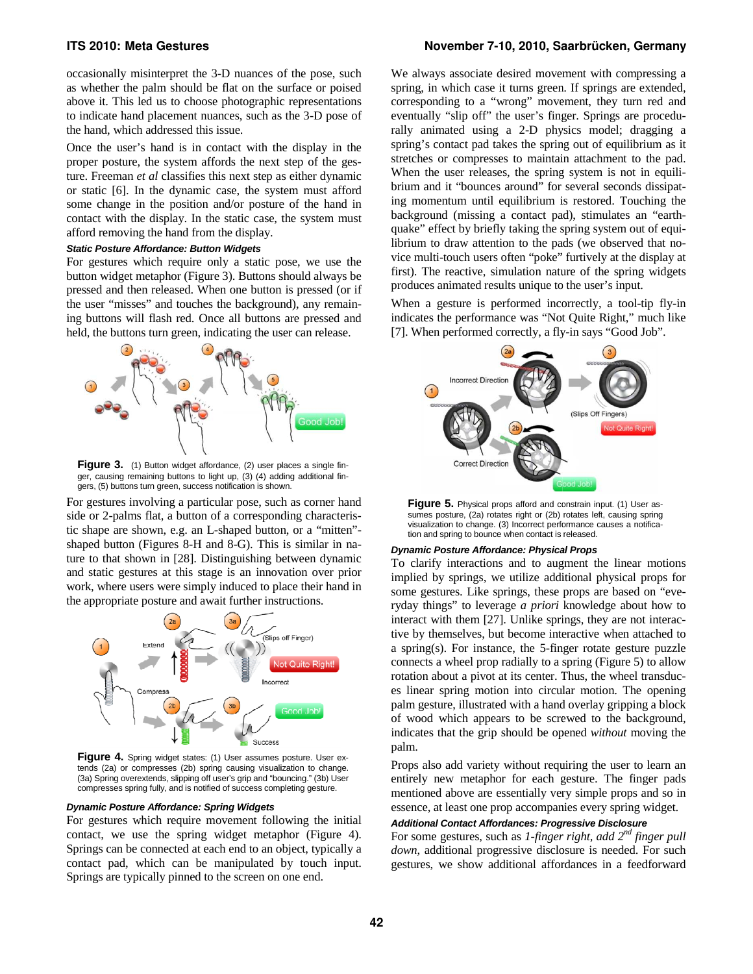occasionally misinterpret the 3-D nuances of the pose, such as whether the palm should be flat on the surface or poised above it. This led us to choose photographic representations to indicate hand placement nuances, such as the 3-D pose of the hand, which addressed this issue.

Once the user's hand is in contact with the display in the proper posture, the system affords the next step of the gesture. Freeman *et al* classifies this next step as either dynamic or static [6]. In the dynamic case, the system must afford some change in the position and/or posture of the hand in contact with the display. In the static case, the system must afford removing the hand from the display.

### **Static Posture Affordance: Button Widgets**

For gestures which require only a static pose, we use the button widget metaphor (Figure 3). Buttons should always be pressed and then released. When one button is pressed (or if the user "misses" and touches the background), any remaining buttons will flash red. Once all buttons are pressed and held, the buttons turn green, indicating the user can release.



Figure 3. (1) Button widget affordance, (2) user places a single finger, causing remaining buttons to light up, (3) (4) adding additional fingers, (5) buttons turn green, success notification is shown.

For gestures involving a particular pose, such as corner hand side or 2-palms flat, a button of a corresponding characteristic shape are shown, e.g. an L-shaped button, or a "mitten"shaped button (Figures 8-H and 8-G). This is similar in nature to that shown in [28]. Distinguishing between dynamic and static gestures at this stage is an innovation over prior work, where users were simply induced to place their hand in the appropriate posture and await further instructions.



Figure 4. Spring widget states: (1) User assumes posture. User extends (2a) or compresses (2b) spring causing visualization to change. (3a) Spring overextends, slipping off user's grip and "bouncing." (3b) User compresses spring fully, and is notified of success completing gesture gesture.

### **Dynamic Posture Affordance: Spring Widgets**

For gestures which require movement following the initial contact, we use the spring widget metaphor (Figure 4). Springs can be connected at each end to an object, typically a contact pad, which can be manipulated by touch input. contact pad, which can be manipulated by touch input Springs are typically pinned to the screen on one end.

We always associate desired movement with compressing a spring, in which case it turns green. If springs are extended, corresponding to a "wrong" movement, they turn red and eventually "slip off" the user's finger. Springs are procedurally animated using a 2-D physics model; dragging a spring's contact pad takes the spring out of equilibrium as it stretches or compresses to maintain attachment to the pad. When the user releases, the spring system is not in equilibrium and it "bounces around" for several seconds dissipating momentum until equilibrium is restored. Touching the background (missing a contact pad), stimulates an "earthquake" effect by briefly taking the spring system out of equilibrium to draw attention to the pads (we observed that novice multi-touch users often "poke" furtively at the display at first). The reactive, simulation nature of the spring widgets produces animated results unique to the user's input.

When a gesture is performed incorrectly, a tool-tip fly-in indicates the performance was "Not Quite Right," much like [7]. When performed correctly, a fly-in says "Good Job".



Figure 5. Physical props afford and constrain input. (1) User assumes posture, (2a) rotates right or (2b) rotates left, causing spring sumes posture, (2a) rotates right or (2b) rotates left, causing spring<br>visualization to change. (3) Incorrect performance causes a notification and spring to bounce when contact is released.

### **Dynamic Posture Affordance: Physical Props**

To clarify interactions and to augment the linear motions implied by springs, we utilize additional physical props for some gestures. Like springs, these props are based on "everyday things" to leverage *a priori*  knowledge about how to interact with them [27]. Unlike springs, they are not interactive by themselves, but become interactive when attached to a spring(s). For instance, the  $5$ -finger rotate gesture puzzle connects a wheel prop radially to a spring ( (Figure 5) to allow rotation about a pivot at its center. Thus, the wheel transduces linear spring motion into circular motion. The opening palm gesture, illustrated with a hand overlay gripping a block of wood which appears to be screwed to the background, indicates that the grip should be opened without moving the palm.

Props also add variety without requiring the user to learn an entirely new metaphor for each gesture. The finger pads mentioned above are essentially very simple props and so in essence, at least one prop accompanies every spring widget.

### **Additional Contact Affordances: Progressive Disclosure Contact Affordances: Disclosure**

For some gestures, such as *1-finger right, add*  $2^{nd}$  *finger pull* down, additional progressive disclosure is needed. For such gestures, we show additional affordances in a feedforward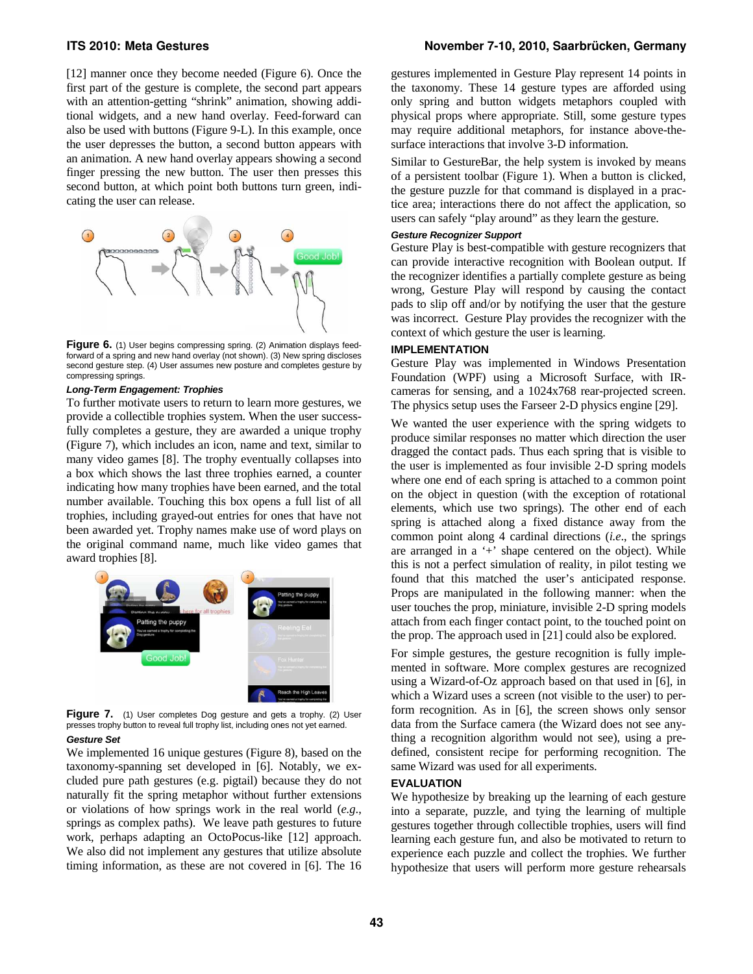[12] manner once they become needed (Figure 6). Once the first part of the gesture is complete, the second part appears with an attention-getting "shrink" animation, showing additional widgets, and a new hand overlay. Feed-forward can also be used with buttons (Figure 9-L). In this example, once the user depresses the button, a second button appears with an animation. A new hand overlay appears showing a second finger pressing the new button. The user then presses this second button, at which point both buttons turn green, indicating the user can release.



Figure 6. (1) User begins compressing spring. (2) Animation displays feedforward of a spring and new hand overlay (not shown). (3) New spring discloses forward of a spring and new hand overlay (not shown). (3) New spring discloses<br>second gesture step. (4) User assumes new posture and completes gesture by compressing springs.

### **Long-Term Engagement: Trophies**

To further motivate users to return to learn more gestures, we To further motivate users to return to learn more gestures, we provide a collectible trophies system. When the user successfully completes a gesture, they are awarded a unique trophy (Figure 7), which includes an icon, name and text, similar to (Figure 7), which includes an icon, name and text, similar to many video games [8]. The trophy eventually collapses into a box which shows the last three trophies earned, a counter indicating how many trophies have been earned, and the total number available. Touching this box opens a full list of all trophies, including grayed-out entries for ones that have not been awarded yet. Trophy names make use of word plays on the original command name, much like video games that award trophies [8].



**Figure 7.** (1) User completes Dog gesture and gets a trophy. (2) User Figure 7. (1) User completes Dog gesture and gets a trophy. (2) User<br>presses trophy button to reveal full trophy list, including ones not yet earned. **Gesture Set** 

We implemented 16 unique gestures (Figure 8), based on the taxonomy-spanning set developed in [6]. Notably, we excluded pure path gestures (e.g. pigtail) because they do not naturally fit the spring metaphor without further extensions further extensions or violations of how springs work in the real world ( *e.g*., springs as complex paths). We leave path gestures to future work, perhaps adapting an OctoPocus-like [12] approach. We also did not implement any gestures that utilize absolute timing information, as these are not covered in  $[6]$ . The 16

gestures implemented in Gesture Play Play represent 14 points in the taxonomy. These 14 gesture types are afforded using the taxonomy. These 14 gesture types are afforded using<br>only spring and button widgets metaphors coupled with physical props where appropriate. Still, some gesture types may require additional metaphors, for instance above-thesurface interactions that involve 3-D information.

Similar to GestureBar, the help system is invoked by means of a persistent toolbar (Figure 1). When a button is clicked, the gesture puzzle for that command is displayed in a practice area; interactions there do not affect the application, so users can safely "play around" as they learn the gesture. users can safely "play around" as they learn the gesture.<br>**Gesture Recognizer Support**<br>Gesture Play is best-compatible with gesture recognizers that

### **Gesture Recognizer Support**

can provide interactive recognition with Boolean output. If the recognizer identifies a partially complete gesture as being wrong, Gesture Play will respond by causing the contact pads to slip off and/or by notifying the user that the gesture was incorrect. Gesture Play provides the recognizer with the context of which gesture the user is learning.

### **IMPLEMENTATION**

Gesture Play was implemented in Windows Presentation Presentation Foundation (WPF) using a Microsoft Surface, with IRcameras for sensing, and a 1024x768 rear-projected screen. The physics setup uses the Farseer 2 2-D physics engine [29].

We wanted the user experience with the spring widgets to produce similar responses no matter which direction direction the user dragged the contact pads. Thus each spring that is visible to the user is implemented as four invisible 2-D spring models where one end of each spring is attached to a common point on the object in question (with the exception of rotational elements, which use two springs). The other end of each spring is attached along a fixed distance away from the common point along 4 cardinal directions (*i.e.*, the springs are arranged in a  $+$  shape centered on the object). While this is not a perfect simulation of reality, in pilot testing we found that this matched the user's anticipated response.<br>Props are manipulated in the following manner: when the Props are manipulated in the following manner: when the user touches the prop, miniature, invisible 2-D spring models attach from each finger contact point, to the touched point on the prop. The approach used in [21] [21] could also be explored.

For simple gestures, the gesture recognition is fully implemented in software. More complex gestures are recognized using a Wizard-of-Oz approach based on that used in [6], in which a Wizard uses a screen (not visible to the user) to perform recognition. As in [6], the screen shows only sensor data from the Surface camera (the Wizard does not see anything a recognition algorithm would not see), using a predefined, consistent recipe for performing recognition. The same Wizard was used for all experiments.

# **EVALUATION**

same Wizard was used for all experiments.<br>**EVALUATION**<br>We hypothesize by breaking up the learning of each gesture into a separate, puzzle, and tying the learning of multiple gestures together through collectible trophies, users will find learning each gesture fun, and also be motivated to return to experience each puzzle and collect the trophies. We further hypothesize that users will perform more gesture rehearsals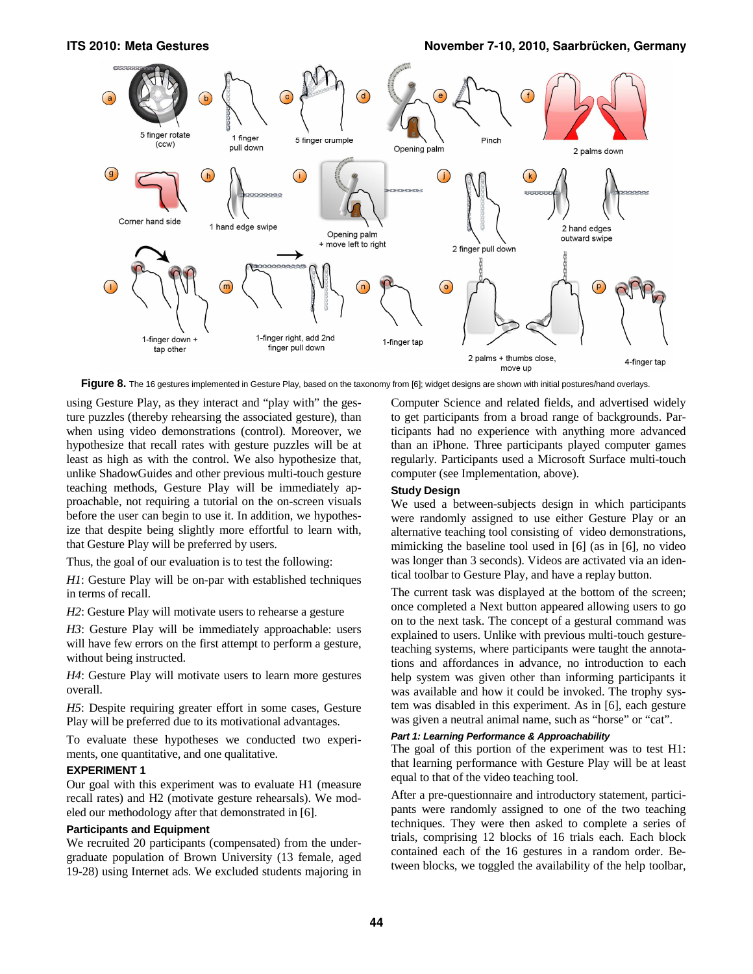

Figure 8. The 16 gestures implemented in Gesture Play, based on the taxonomy from [6]; widget designs are shown with initial postures/hand overlays.

using Gesture Play, as they interact and "play with" the gesture puzzles (thereby rehearsing the associated gesture), than when using video demonstrations (control). Moreover, we hypothesize that recall rates with gesture puzzles will be at least as high as with the control. We also hypothesize that, unlike ShadowGuides and other previous multi-touch gesture teaching methods, Gesture Play will be immediately approachable, not requiring a tutorial on the on-screen visuals before the user can begin to use it. In addition, we hypothesize that despite being slightly more effortful to learn with, that Gesture Play will be preferred by users.

Thus, the goal of our evaluation is to test the following:

*H1*: Gesture Play will be on-par with established techniques in terms of recall.

*H2*: Gesture Play will motivate users to rehearse a gesture

*H3*: Gesture Play will be immediately approachable: users will have few errors on the first attempt to perform a gesture, without being instructed.

*H4*: Gesture Play will motivate users to learn more gestures overall.

*H5*: Despite requiring greater effort in some cases, Gesture Play will be preferred due to its motivational advantages.

To evaluate these hypotheses we conducted two experiments, one quantitative, and one qualitative.

# **EXPERIMENT 1**

Our goal with this experiment was to evaluate H1 (measure recall rates) and H2 (motivate gesture rehearsals). We modeled our methodology after that demonstrated in [6].

## **Participants and Equipment**

We recruited 20 participants (compensated) from the undergraduate population of Brown University (13 female, aged 19-28) using Internet ads. We excluded students majoring in Computer Science and related fields, and advertised widely to get participants from a broad range of backgrounds. Participants had no experience with anything more advanced than an iPhone. Three participants played computer games regularly. Participants used a Microsoft Surface multi-touch computer (see Implementation, above).

### **Study Design**

We used a between-subjects design in which participants were randomly assigned to use either Gesture Play or an alternative teaching tool consisting of video demonstrations, mimicking the baseline tool used in [6] (as in [6], no video was longer than 3 seconds). Videos are activated via an identical toolbar to Gesture Play, and have a replay button.

The current task was displayed at the bottom of the screen; once completed a Next button appeared allowing users to go on to the next task. The concept of a gestural command was explained to users. Unlike with previous multi-touch gestureteaching systems, where participants were taught the annotations and affordances in advance, no introduction to each help system was given other than informing participants it was available and how it could be invoked. The trophy system was disabled in this experiment. As in [6], each gesture was given a neutral animal name, such as "horse" or "cat".

### **Part 1: Learning Performance & Approachability**

The goal of this portion of the experiment was to test H1: that learning performance with Gesture Play will be at least equal to that of the video teaching tool.

After a pre-questionnaire and introductory statement, participants were randomly assigned to one of the two teaching techniques. They were then asked to complete a series of trials, comprising 12 blocks of 16 trials each. Each block contained each of the 16 gestures in a random order. Between blocks, we toggled the availability of the help toolbar,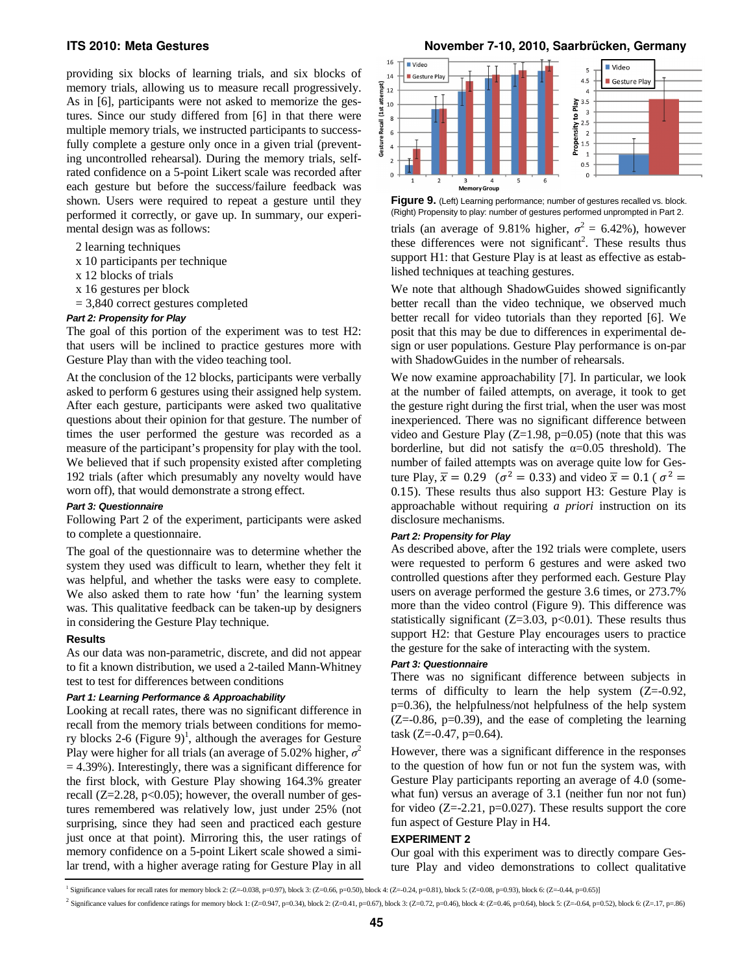providing six blocks of learning trials, and six blocks of memory trials, allowing us to measure recall progressively. As in [6], participants were not asked to memorize the gestures. Since our study differed from [6] in that there were multiple memory trials, we instructed participants to successfully complete a gesture only once in a given trial (preventing uncontrolled rehearsal). During the memory trials, selfrated confidence on a 5-point Likert scale was recorded after each gesture but before the success/failure feedback was shown. Users were required to repeat a gesture until they performed it correctly, or gave up. In summary, our experimental design was as follows:

- 2 learning techniques
- x 10 participants per technique
- x 12 blocks of trials
- x 16 gestures per block
- = 3,840 correct gestures completed

### **Part 2: Propensity for Play**

The goal of this portion of the experiment was to test H2: that users will be inclined to practice gestures more with Gesture Play than with the video teaching tool.

At the conclusion of the 12 blocks, participants were verbally asked to perform 6 gestures using their assigned help system. After each gesture, participants were asked two qualitative questions about their opinion for that gesture. The number of times the user performed the gesture was recorded as a measure of the participant's propensity for play with the tool. We believed that if such propensity existed after completing 192 trials (after which presumably any novelty would have worn off), that would demonstrate a strong effect.

# **Part 3: Questionnaire**

Following Part 2 of the experiment, participants were asked to complete a questionnaire.

The goal of the questionnaire was to determine whether the system they used was difficult to learn, whether they felt it was helpful, and whether the tasks were easy to complete. We also asked them to rate how 'fun' the learning system was. This qualitative feedback can be taken-up by designers in considering the Gesture Play technique.

### **Results**

As our data was non-parametric, discrete, and did not appear to fit a known distribution, we used a 2-tailed Mann-Whitney test to test for differences between conditions

### **Part 1: Learning Performance & Approachability**

Looking at recall rates, there was no significant difference in recall from the memory trials between conditions for memory blocks 2-6 (Figure  $9)^1$ , although the averages for Gesture Play were higher for all trials (an average of 5.02% higher,  $\sigma^2$  $= 4.39\%$ ). Interestingly, there was a significant difference for the first block, with Gesture Play showing 164.3% greater recall  $(Z=2.28, p<0.05)$ ; however, the overall number of gestures remembered was relatively low, just under 25% (not surprising, since they had seen and practiced each gesture just once at that point). Mirroring this, the user ratings of memory confidence on a 5-point Likert scale showed a similar trend, with a higher average rating for Gesture Play in all



Figure 9. (Left) Learning performance; number of gestures recalled vs. block. (Right) Propensity to play: number of gestures performed unprompted in Part 2.

trials (an average of 9.81% higher,  $\sigma^2 = 6.42\%$ ), however these differences were not significant<sup>2</sup>. These results thus support H1: that Gesture Play is at least as effective as established techniques at teaching gestures.

We note that although ShadowGuides showed significantly better recall than the video technique, we observed much better recall for video tutorials than they reported [6]. We posit that this may be due to differences in experimental design or user populations. Gesture Play performance is on-par with ShadowGuides in the number of rehearsals.

We now examine approachability [7]. In particular, we look at the number of failed attempts, on average, it took to get the gesture right during the first trial, when the user was most inexperienced. There was no significant difference between video and Gesture Play  $(Z=1.98, p=0.05)$  (note that this was borderline, but did not satisfy the  $\alpha$ =0.05 threshold). The number of failed attempts was on average quite low for Gesture Play,  $\overline{x} = 0.29$  ( $\sigma^2 = 0.33$ ) and video  $\overline{x} = 0.1$  ( $\sigma^2 =$ 0.15). These results thus also support H3: Gesture Play is approachable without requiring *a priori* instruction on its disclosure mechanisms.

# **Part 2: Propensity for Play**

As described above, after the 192 trials were complete, users were requested to perform 6 gestures and were asked two controlled questions after they performed each. Gesture Play users on average performed the gesture 3.6 times, or 273.7% more than the video control (Figure 9). This difference was statistically significant ( $Z=3.03$ ,  $p<0.01$ ). These results thus support H2: that Gesture Play encourages users to practice the gesture for the sake of interacting with the system.

# **Part 3: Questionnaire**

There was no significant difference between subjects in terms of difficulty to learn the help system  $(Z=0.92,$ p=0.36), the helpfulness/not helpfulness of the help system  $(Z=0.86, p=0.39)$ , and the ease of completing the learning task (Z= $-0.47$ , p= $0.64$ ).

However, there was a significant difference in the responses to the question of how fun or not fun the system was, with Gesture Play participants reporting an average of 4.0 (somewhat fun) versus an average of 3.1 (neither fun nor not fun) for video  $(Z=-2.21, p=0.027)$ . These results support the core fun aspect of Gesture Play in H4.

### **EXPERIMENT 2**

Our goal with this experiment was to directly compare Gesture Play and video demonstrations to collect qualitative

<sup>&</sup>lt;sup>1</sup> Significance values for recall rates for memory block 2: (Z=-0.038, p=0.97), block 3: (Z=0.66, p=0.50), block 4: (Z=-0.24, p=0.81), block 5: (Z=0.08, p=0.93), block 6: (Z=-0.44, p=0.65)]

 $^2$  Significance values for confidence ratings for memory block 1: (Z=0.947, p=0.34), block 2: (Z=0.41, p=0.67), block 3: (Z=0.72, p=0.46), block 4: (Z=0.46, p=0.64), block 5: (Z=-0.64, p=0.52), block 6: (Z=.17, p=.86)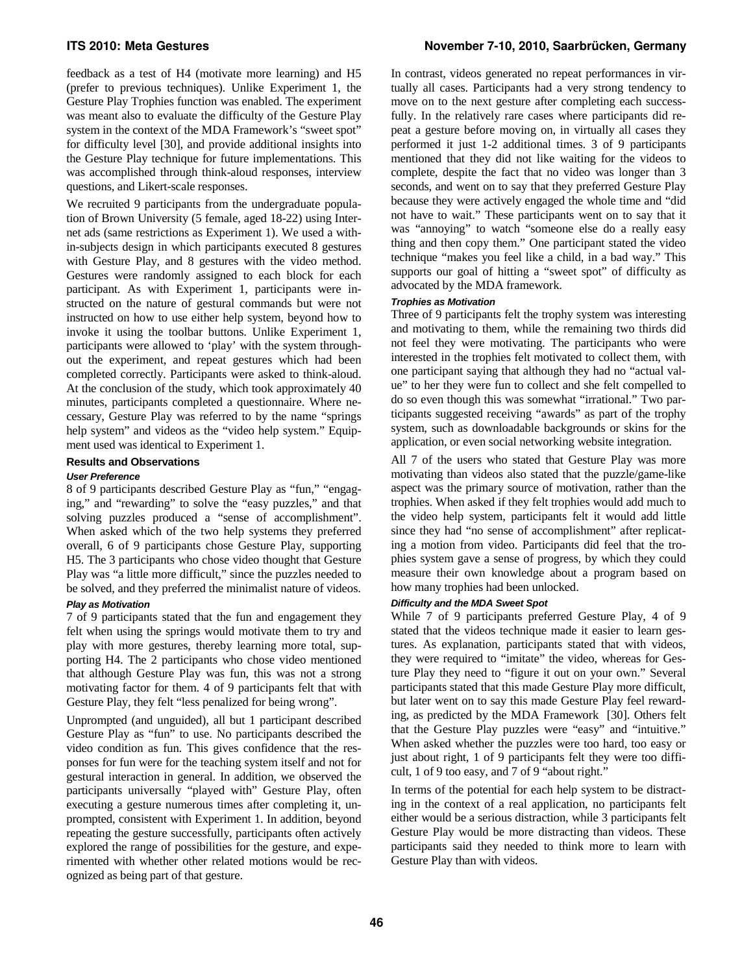feedback as a test of H4 (motivate more learning) and H5 (prefer to previous techniques). Unlike Experiment 1, the Gesture Play Trophies function was enabled. The experiment was meant also to evaluate the difficulty of the Gesture Play system in the context of the MDA Framework's "sweet spot" for difficulty level [30], and provide additional insights into the Gesture Play technique for future implementations. This was accomplished through think-aloud responses, interview questions, and Likert-scale responses.

We recruited 9 participants from the undergraduate population of Brown University (5 female, aged 18-22) using Internet ads (same restrictions as Experiment 1). We used a within-subjects design in which participants executed 8 gestures with Gesture Play, and 8 gestures with the video method. Gestures were randomly assigned to each block for each participant. As with Experiment 1, participants were instructed on the nature of gestural commands but were not instructed on how to use either help system, beyond how to invoke it using the toolbar buttons. Unlike Experiment 1, participants were allowed to 'play' with the system throughout the experiment, and repeat gestures which had been completed correctly. Participants were asked to think-aloud. At the conclusion of the study, which took approximately 40 minutes, participants completed a questionnaire. Where necessary, Gesture Play was referred to by the name "springs help system" and videos as the "video help system." Equipment used was identical to Experiment 1.

## **Results and Observations**

### **User Preference**

8 of 9 participants described Gesture Play as "fun," "engaging," and "rewarding" to solve the "easy puzzles," and that solving puzzles produced a "sense of accomplishment". When asked which of the two help systems they preferred overall, 6 of 9 participants chose Gesture Play, supporting H5. The 3 participants who chose video thought that Gesture Play was "a little more difficult," since the puzzles needed to be solved, and they preferred the minimalist nature of videos.

# **Play as Motivation**

7 of 9 participants stated that the fun and engagement they felt when using the springs would motivate them to try and play with more gestures, thereby learning more total, supporting H4. The 2 participants who chose video mentioned that although Gesture Play was fun, this was not a strong motivating factor for them. 4 of 9 participants felt that with Gesture Play, they felt "less penalized for being wrong".

Unprompted (and unguided), all but 1 participant described Gesture Play as "fun" to use. No participants described the video condition as fun. This gives confidence that the responses for fun were for the teaching system itself and not for gestural interaction in general. In addition, we observed the participants universally "played with" Gesture Play, often executing a gesture numerous times after completing it, unprompted, consistent with Experiment 1. In addition, beyond repeating the gesture successfully, participants often actively explored the range of possibilities for the gesture, and experimented with whether other related motions would be recognized as being part of that gesture.

In contrast, videos generated no repeat performances in virtually all cases. Participants had a very strong tendency to move on to the next gesture after completing each successfully. In the relatively rare cases where participants did repeat a gesture before moving on, in virtually all cases they performed it just 1-2 additional times. 3 of 9 participants mentioned that they did not like waiting for the videos to complete, despite the fact that no video was longer than 3 seconds, and went on to say that they preferred Gesture Play because they were actively engaged the whole time and "did not have to wait." These participants went on to say that it was "annoying" to watch "someone else do a really easy thing and then copy them." One participant stated the video technique "makes you feel like a child, in a bad way." This supports our goal of hitting a "sweet spot" of difficulty as advocated by the MDA framework.

## **Trophies as Motivation**

Three of 9 participants felt the trophy system was interesting and motivating to them, while the remaining two thirds did not feel they were motivating. The participants who were interested in the trophies felt motivated to collect them, with one participant saying that although they had no "actual value" to her they were fun to collect and she felt compelled to do so even though this was somewhat "irrational." Two participants suggested receiving "awards" as part of the trophy system, such as downloadable backgrounds or skins for the application, or even social networking website integration.

All 7 of the users who stated that Gesture Play was more motivating than videos also stated that the puzzle/game-like aspect was the primary source of motivation, rather than the trophies. When asked if they felt trophies would add much to the video help system, participants felt it would add little since they had "no sense of accomplishment" after replicating a motion from video. Participants did feel that the trophies system gave a sense of progress, by which they could measure their own knowledge about a program based on how many trophies had been unlocked.

# **Difficulty and the MDA Sweet Spot**

While 7 of 9 participants preferred Gesture Play, 4 of 9 stated that the videos technique made it easier to learn gestures. As explanation, participants stated that with videos, they were required to "imitate" the video, whereas for Gesture Play they need to "figure it out on your own." Several participants stated that this made Gesture Play more difficult, but later went on to say this made Gesture Play feel rewarding, as predicted by the MDA Framework [30]. Others felt that the Gesture Play puzzles were "easy" and "intuitive." When asked whether the puzzles were too hard, too easy or just about right, 1 of 9 participants felt they were too difficult, 1 of 9 too easy, and 7 of 9 "about right."

In terms of the potential for each help system to be distracting in the context of a real application, no participants felt either would be a serious distraction, while 3 participants felt Gesture Play would be more distracting than videos. These participants said they needed to think more to learn with Gesture Play than with videos.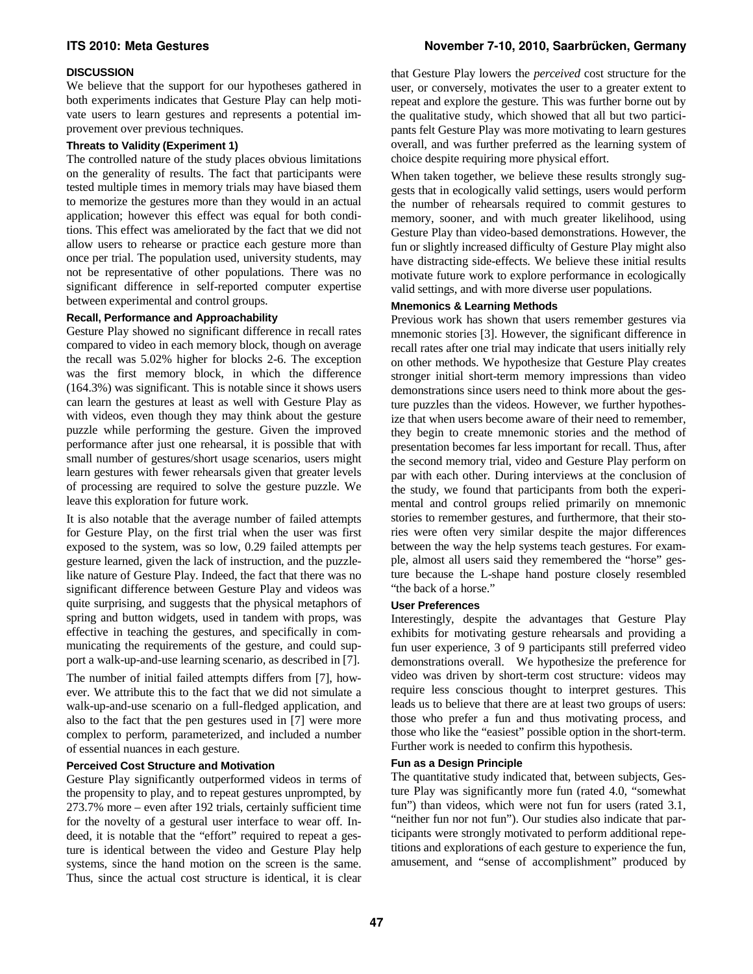### **ITS 2010: Meta Gestures November 7-10, 2010, Saarbrücken, Germany**

# **DISCUSSION**

We believe that the support for our hypotheses gathered in both experiments indicates that Gesture Play can help motivate users to learn gestures and represents a potential improvement over previous techniques.

# **Threats to Validity (Experiment 1)**

The controlled nature of the study places obvious limitations on the generality of results. The fact that participants were tested multiple times in memory trials may have biased them to memorize the gestures more than they would in an actual application; however this effect was equal for both conditions. This effect was ameliorated by the fact that we did not allow users to rehearse or practice each gesture more than once per trial. The population used, university students, may not be representative of other populations. There was no significant difference in self-reported computer expertise between experimental and control groups.

# **Recall, Performance and Approachability**

Gesture Play showed no significant difference in recall rates compared to video in each memory block, though on average the recall was 5.02% higher for blocks 2-6. The exception was the first memory block, in which the difference (164.3%) was significant. This is notable since it shows users can learn the gestures at least as well with Gesture Play as with videos, even though they may think about the gesture puzzle while performing the gesture. Given the improved performance after just one rehearsal, it is possible that with small number of gestures/short usage scenarios, users might learn gestures with fewer rehearsals given that greater levels of processing are required to solve the gesture puzzle. We leave this exploration for future work.

It is also notable that the average number of failed attempts for Gesture Play, on the first trial when the user was first exposed to the system, was so low, 0.29 failed attempts per gesture learned, given the lack of instruction, and the puzzlelike nature of Gesture Play. Indeed, the fact that there was no significant difference between Gesture Play and videos was quite surprising, and suggests that the physical metaphors of spring and button widgets, used in tandem with props, was effective in teaching the gestures, and specifically in communicating the requirements of the gesture, and could support a walk-up-and-use learning scenario, as described in [7].

The number of initial failed attempts differs from [7], however. We attribute this to the fact that we did not simulate a walk-up-and-use scenario on a full-fledged application, and also to the fact that the pen gestures used in [7] were more complex to perform, parameterized, and included a number of essential nuances in each gesture.

# **Perceived Cost Structure and Motivation**

Gesture Play significantly outperformed videos in terms of the propensity to play, and to repeat gestures unprompted, by 273.7% more – even after 192 trials, certainly sufficient time for the novelty of a gestural user interface to wear off. Indeed, it is notable that the "effort" required to repeat a gesture is identical between the video and Gesture Play help systems, since the hand motion on the screen is the same. Thus, since the actual cost structure is identical, it is clear

that Gesture Play lowers the *perceived* cost structure for the user, or conversely, motivates the user to a greater extent to repeat and explore the gesture. This was further borne out by the qualitative study, which showed that all but two participants felt Gesture Play was more motivating to learn gestures overall, and was further preferred as the learning system of choice despite requiring more physical effort.

When taken together, we believe these results strongly suggests that in ecologically valid settings, users would perform the number of rehearsals required to commit gestures to memory, sooner, and with much greater likelihood, using Gesture Play than video-based demonstrations. However, the fun or slightly increased difficulty of Gesture Play might also have distracting side-effects. We believe these initial results motivate future work to explore performance in ecologically valid settings, and with more diverse user populations.

# **Mnemonics & Learning Methods**

Previous work has shown that users remember gestures via mnemonic stories [3]. However, the significant difference in recall rates after one trial may indicate that users initially rely on other methods. We hypothesize that Gesture Play creates stronger initial short-term memory impressions than video demonstrations since users need to think more about the gesture puzzles than the videos. However, we further hypothesize that when users become aware of their need to remember, they begin to create mnemonic stories and the method of presentation becomes far less important for recall. Thus, after the second memory trial, video and Gesture Play perform on par with each other. During interviews at the conclusion of the study, we found that participants from both the experimental and control groups relied primarily on mnemonic stories to remember gestures, and furthermore, that their stories were often very similar despite the major differences between the way the help systems teach gestures. For example, almost all users said they remembered the "horse" gesture because the L-shape hand posture closely resembled "the back of a horse."

# **User Preferences**

Interestingly, despite the advantages that Gesture Play exhibits for motivating gesture rehearsals and providing a fun user experience, 3 of 9 participants still preferred video demonstrations overall. We hypothesize the preference for video was driven by short-term cost structure: videos may require less conscious thought to interpret gestures. This leads us to believe that there are at least two groups of users: those who prefer a fun and thus motivating process, and those who like the "easiest" possible option in the short-term. Further work is needed to confirm this hypothesis.

### **Fun as a Design Principle**

The quantitative study indicated that, between subjects, Gesture Play was significantly more fun (rated 4.0, "somewhat fun") than videos, which were not fun for users (rated 3.1, "neither fun nor not fun"). Our studies also indicate that participants were strongly motivated to perform additional repetitions and explorations of each gesture to experience the fun, amusement, and "sense of accomplishment" produced by